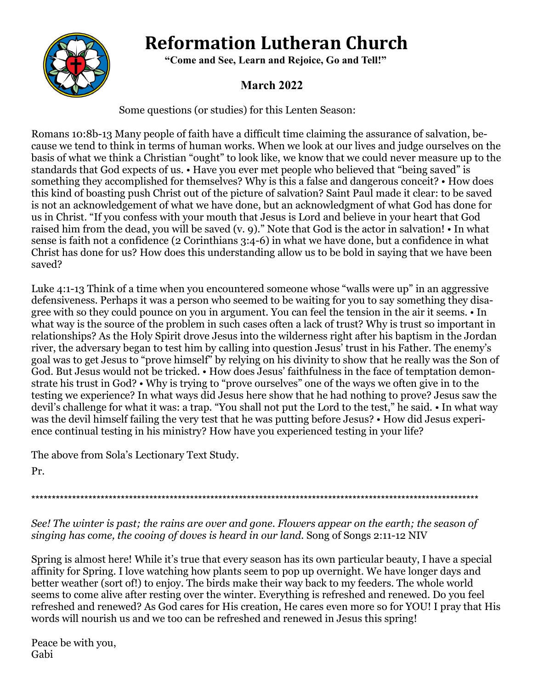# **Reformation Lutheran Church**



 **"Come and See, Learn and Rejoice, Go and Tell!"**

# **March 2022**

Some questions (or studies) for this Lenten Season:

Romans 10:8b-13 Many people of faith have a difficult time claiming the assurance of salvation, because we tend to think in terms of human works. When we look at our lives and judge ourselves on the basis of what we think a Christian "ought" to look like, we know that we could never measure up to the standards that God expects of us. • Have you ever met people who believed that "being saved" is something they accomplished for themselves? Why is this a false and dangerous conceit? • How does this kind of boasting push Christ out of the picture of salvation? Saint Paul made it clear: to be saved is not an acknowledgement of what we have done, but an acknowledgment of what God has done for us in Christ. "If you confess with your mouth that Jesus is Lord and believe in your heart that God raised him from the dead, you will be saved (v. 9)." Note that God is the actor in salvation! • In what sense is faith not a confidence (2 Corinthians 3:4-6) in what we have done, but a confidence in what Christ has done for us? How does this understanding allow us to be bold in saying that we have been saved?

Luke 4:1-13 Think of a time when you encountered someone whose "walls were up" in an aggressive defensiveness. Perhaps it was a person who seemed to be waiting for you to say something they disagree with so they could pounce on you in argument. You can feel the tension in the air it seems. • In what way is the source of the problem in such cases often a lack of trust? Why is trust so important in relationships? As the Holy Spirit drove Jesus into the wilderness right after his baptism in the Jordan river, the adversary began to test him by calling into question Jesus' trust in his Father. The enemy's goal was to get Jesus to "prove himself" by relying on his divinity to show that he really was the Son of God. But Jesus would not be tricked. • How does Jesus' faithfulness in the face of temptation demonstrate his trust in God? • Why is trying to "prove ourselves" one of the ways we often give in to the testing we experience? In what ways did Jesus here show that he had nothing to prove? Jesus saw the devil's challenge for what it was: a trap. "You shall not put the Lord to the test," he said. • In what way was the devil himself failing the very test that he was putting before Jesus? • How did Jesus experience continual testing in his ministry? How have you experienced testing in your life?

The above from Sola's Lectionary Text Study.

Pr.

\*\*\*\*\*\*\*\*\*\*\*\*\*\*\*\*\*\*\*\*\*\*\*\*\*\*\*\*\*\*\*\*\*\*\*\*\*\*\*\*\*\*\*\*\*\*\*\*\*\*\*\*\*\*\*\*\*\*\*\*\*\*\*\*\*\*\*\*\*\*\*\*\*\*\*\*\*\*\*\*\*\*\*\*\*\*\*\*\*\*\*\*\*\*\*\*\*\*\*\*\*\*\*\*\*\*\*\*\*\*

*See! The winter is past; the rains are over and gone. Flowers appear on the earth; the season of singing has come, the cooing of doves is heard in our land.* Song of Songs 2:11-12 NIV

Spring is almost here! While it's true that every season has its own particular beauty, I have a special affinity for Spring. I love watching how plants seem to pop up overnight. We have longer days and better weather (sort of!) to enjoy. The birds make their way back to my feeders. The whole world seems to come alive after resting over the winter. Everything is refreshed and renewed. Do you feel refreshed and renewed? As God cares for His creation, He cares even more so for YOU! I pray that His words will nourish us and we too can be refreshed and renewed in Jesus this spring!

Peace be with you, Gabi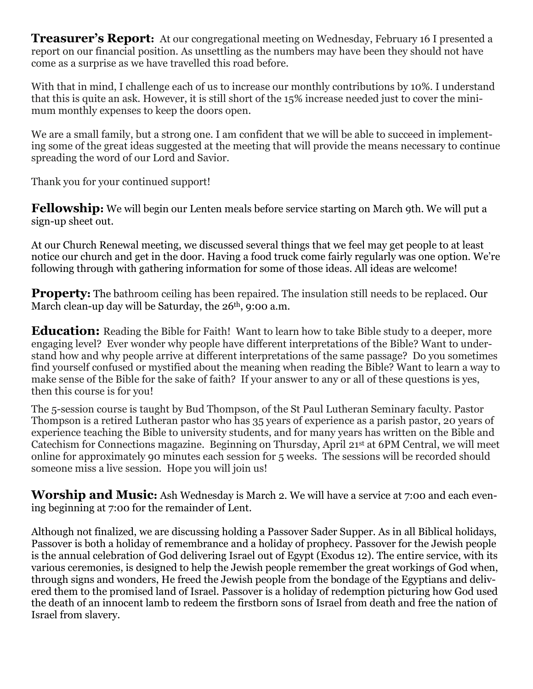**Treasurer's Report:** At our congregational meeting on Wednesday, February 16 I presented a report on our financial position. As unsettling as the numbers may have been they should not have come as a surprise as we have travelled this road before.

With that in mind, I challenge each of us to increase our monthly contributions by 10%. I understand that this is quite an ask. However, it is still short of the 15% increase needed just to cover the minimum monthly expenses to keep the doors open.

We are a small family, but a strong one. I am confident that we will be able to succeed in implementing some of the great ideas suggested at the meeting that will provide the means necessary to continue spreading the word of our Lord and Savior.

Thank you for your continued support!

**Fellowship:** We will begin our Lenten meals before service starting on March 9th. We will put a sign-up sheet out.

At our Church Renewal meeting, we discussed several things that we feel may get people to at least notice our church and get in the door. Having a food truck come fairly regularly was one option. We're following through with gathering information for some of those ideas. All ideas are welcome!

**Property:** The bathroom ceiling has been repaired. The insulation still needs to be replaced. Our March clean-up day will be Saturday, the 26<sup>th</sup>, 9:00 a.m.

**Education:** Reading the Bible for Faith! Want to learn how to take Bible study to a deeper, more engaging level? Ever wonder why people have different interpretations of the Bible? Want to understand how and why people arrive at different interpretations of the same passage? Do you sometimes find yourself confused or mystified about the meaning when reading the Bible? Want to learn a way to make sense of the Bible for the sake of faith? If your answer to any or all of these questions is yes, then this course is for you!

The 5-session course is taught by Bud Thompson, of the St Paul Lutheran Seminary faculty. Pastor Thompson is a retired Lutheran pastor who has 35 years of experience as a parish pastor, 20 years of experience teaching the Bible to university students, and for many years has written on the Bible and Catechism for Connections magazine. Beginning on Thursday, April 21st at 6PM Central, we will meet online for approximately 90 minutes each session for 5 weeks. The sessions will be recorded should someone miss a live session. Hope you will join us!

Worship and Music: Ash Wednesday is March 2. We will have a service at 7:00 and each evening beginning at 7:00 for the remainder of Lent.

Although not finalized, we are discussing holding a Passover Sader Supper. As in all Biblical holidays, Passover is both a holiday of remembrance and a holiday of prophecy. Passover for the Jewish people is the annual celebration of God delivering Israel out of Egypt (Exodus 12). The entire service, with its various ceremonies, is designed to help the Jewish people remember the great workings of God when, through signs and wonders, He freed the Jewish people from the bondage of the Egyptians and delivered them to the promised land of Israel. Passover is a holiday of redemption picturing how God used the death of an innocent lamb to redeem the firstborn sons of Israel from death and free the nation of Israel from slavery.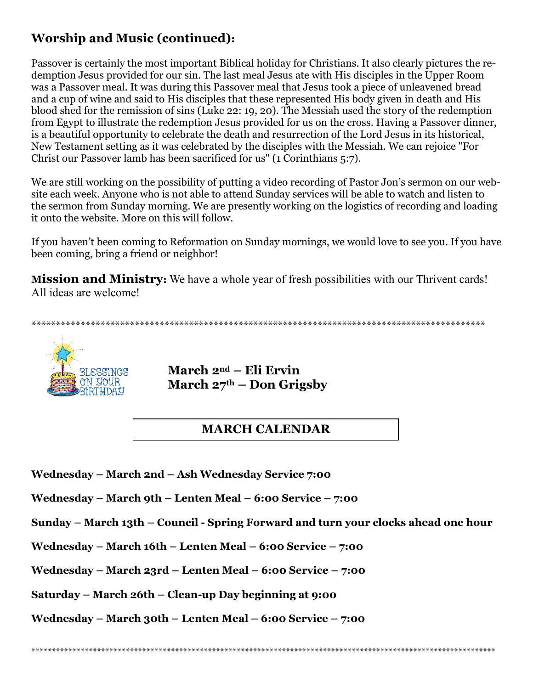## **Worship and Music (continued):**

Passover is certainly the most important Biblical holiday for Christians. It also clearly pictures the redemption Jesus provided for our sin. The last meal Jesus ate with His disciples in the Upper Room was a Passover meal. It was during this Passover meal that Jesus took a piece of unleavened bread and a cup of wine and said to His disciples that these represented His body given in death and His blood shed for the remission of sins (Luke 22: 19, 20). The Messiah used the story of the redemption from Egypt to illustrate the redemption Jesus provided for us on the cross. Having a Passover dinner, is a beautiful opportunity to celebrate the death and resurrection of the Lord Jesus in its historical, New Testament setting as it was celebrated by the disciples with the Messiah. We can rejoice "For Christ our Passover lamb has been sacrificed for us" (1 Corinthians 5:7).

We are still working on the possibility of putting a video recording of Pastor Jon's sermon on our website each week. Anyone who is not able to attend Sunday services will be able to watch and listen to the sermon from Sunday morning. We are presently working on the logistics of recording and loading it onto the website. More on this will follow.

If you haven't been coming to Reformation on Sunday mornings, we would love to see you. If you have been coming, bring a friend or neighbor!

**Mission and Ministry:** We have a whole year of fresh possibilities with our Thrivent cards! All ideas are welcome!

\*\*\*\*\*\*\*\*\*\*\*\*\*\*\*\*\*\*\*\*\*\*\*\*\*\*\*\*\*\*\*\*\*\*\*\*\*\*\*\*\*\*\*\*\*\*\*\*\*\*\*\*\*\*\*\*\*\*\*\*\*\*\*\*\*\*\*\*\*\*\*\*\*\*\*\*\*\*\*\*\*\*\*\*\*\*\*\*\*\*\*\*



**March 2nd – Eli Ervin March 27th – Don Grigsby**

## **MARCH CALENDAR**

**Wednesday – March 2nd – Ash Wednesday Service 7:00**

**Wednesday – March 9th – Lenten Meal – 6:00 Service – 7:00**

**Sunday – March 13th – Council - Spring Forward and turn your clocks ahead one hour**

**Wednesday – March 16th – Lenten Meal – 6:00 Service – 7:00**

**Wednesday – March 23rd – Lenten Meal – 6:00 Service – 7:00**

**Saturday – March 26th – Clean-up Day beginning at 9:00**

**Wednesday – March 30th – Lenten Meal – 6:00 Service – 7:00**

\*\*\*\*\*\*\*\*\*\*\*\*\*\*\*\*\*\*\*\*\*\*\*\*\*\*\*\*\*\*\*\*\*\*\*\*\*\*\*\*\*\*\*\*\*\*\*\*\*\*\*\*\*\*\*\*\*\*\*\*\*\*\*\*\*\*\*\*\*\*\*\*\*\*\*\*\*\*\*\*\*\*\*\*\*\*\*\*\*\*\*\*\*\*\*\*\*\*\*\*\*\*\*\*\*\*\*\*\*\*\*\*\*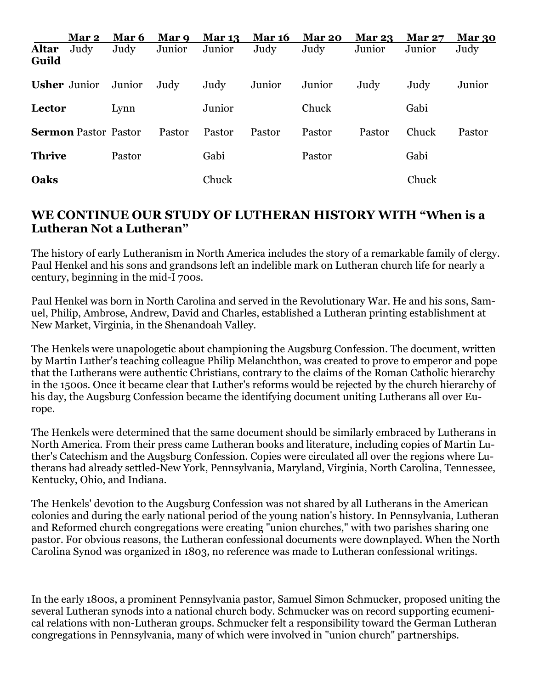|                     | Mar 2                       | Mar 6  | Mar 9  | <b>Mar 13</b> | <b>Mar 16</b> | Mar 20 | <b>Mar 23</b> | <b>Mar 27</b> | Mar 30 |
|---------------------|-----------------------------|--------|--------|---------------|---------------|--------|---------------|---------------|--------|
| Altar<br>Guild      | Judy                        | Judy   | Junior | Junior        | Judy          | Judy   | Junior        | Junior        | Judy   |
| <b>Usher</b> Junior |                             | Junior | Judy   | Judy          | Junior        | Junior | Judy          | Judy          | Junior |
| Lector              |                             | Lynn   |        | Junior        |               | Chuck  |               | Gabi          |        |
|                     | <b>Sermon Pastor Pastor</b> |        | Pastor | Pastor        | Pastor        | Pastor | Pastor        | Chuck         | Pastor |
| <b>Thrive</b>       |                             | Pastor |        | Gabi          |               | Pastor |               | Gabi          |        |
| Oaks                |                             |        |        | Chuck         |               |        |               | Chuck         |        |

#### **WE CONTINUE OUR STUDY OF LUTHERAN HISTORY WITH "When is a Lutheran Not a Lutheran"**

The history of early Lutheranism in North America includes the story of a remarkable family of clergy. Paul Henkel and his sons and grandsons left an indelible mark on Lutheran church life for nearly a century, beginning in the mid-I 700s.

Paul Henkel was born in North Carolina and served in the Revolutionary War. He and his sons, Samuel, Philip, Ambrose, Andrew, David and Charles, established a Lutheran printing establishment at New Market, Virginia, in the Shenandoah Valley.

The Henkels were unapologetic about championing the Augsburg Confession. The document, written by Martin Luther's teaching colleague Philip Melanchthon, was created to prove to emperor and pope that the Lutherans were authentic Christians, contrary to the claims of the Roman Catholic hierarchy in the 1500s. Once it became clear that Luther's reforms would be rejected by the church hierarchy of his day, the Augsburg Confession became the identifying document uniting Lutherans all over Europe.

The Henkels were determined that the same document should be similarly embraced by Lutherans in North America. From their press came Lutheran books and literature, including copies of Martin Luther's Catechism and the Augsburg Confession. Copies were circulated all over the regions where Lutherans had already settled-New York, Pennsylvania, Maryland, Virginia, North Carolina, Tennessee, Kentucky, Ohio, and Indiana.

The Henkels' devotion to the Augsburg Confession was not shared by all Lutherans in the American colonies and during the early national period of the young nation's history. In Pennsylvania, Lutheran and Reformed church congregations were creating "union churches," with two parishes sharing one pastor. For obvious reasons, the Lutheran confessional documents were downplayed. When the North Carolina Synod was organized in 1803, no reference was made to Lutheran confessional writings.

In the early 1800s, a prominent Pennsylvania pastor, Samuel Simon Schmucker, proposed uniting the several Lutheran synods into a national church body. Schmucker was on record supporting ecumenical relations with non-Lutheran groups. Schmucker felt a responsibility toward the German Lutheran congregations in Pennsylvania, many of which were involved in "union church" partnerships.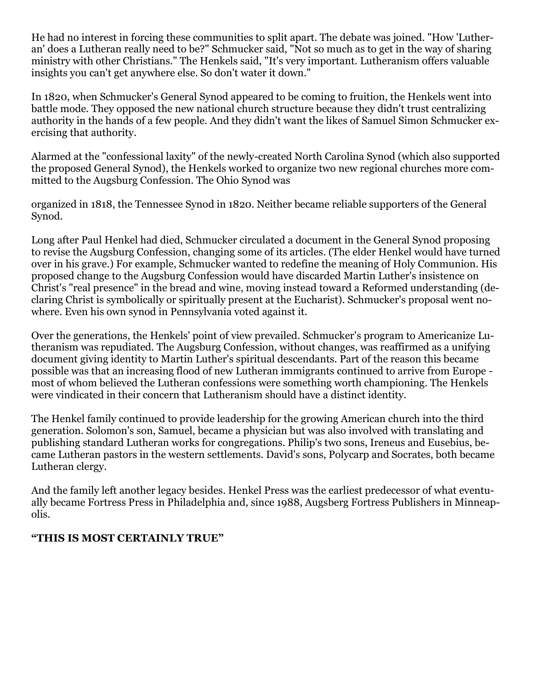He had no interest in forcing these communities to split apart. The debate was joined. "How 'Lutheran' does a Lutheran really need to be?" Schmucker said, "Not so much as to get in the way of sharing ministry with other Christians." The Henkels said, "It's very important. Lutheranism offers valuable insights you can't get anywhere else. So don't water it down."

In 1820, when Schmucker's General Synod appeared to be coming to fruition, the Henkels went into battle mode. They opposed the new national church structure because they didn't trust centralizing authority in the hands of a few people. And they didn't want the likes of Samuel Simon Schmucker exercising that authority.

Alarmed at the "confessional laxity" of the newly-created North Carolina Synod (which also supported the proposed General Synod), the Henkels worked to organize two new regional churches more committed to the Augsburg Confession. The Ohio Synod was

organized in 1818, the Tennessee Synod in 1820. Neither became reliable supporters of the General Synod.

Long after Paul Henkel had died, Schmucker circulated a document in the General Synod proposing to revise the Augsburg Confession, changing some of its articles. (The elder Henkel would have turned over in his grave.) For example, Schmucker wanted to redefine the meaning of Holy Communion. His proposed change to the Augsburg Confession would have discarded Martin Luther's insistence on Christ's "real presence" in the bread and wine, moving instead toward a Reformed understanding (declaring Christ is symbolically or spiritually present at the Eucharist). Schmucker's proposal went nowhere. Even his own synod in Pennsylvania voted against it.

Over the generations, the Henkels' point of view prevailed. Schmucker's program to Americanize Lutheranism was repudiated. The Augsburg Confession, without changes, was reaffirmed as a unifying document giving identity to Martin Luther's spiritual descendants. Part of the reason this became possible was that an increasing flood of new Lutheran immigrants continued to arrive from Europe most of whom believed the Lutheran confessions were something worth championing. The Henkels were vindicated in their concern that Lutheranism should have a distinct identity.

The Henkel family continued to provide leadership for the growing American church into the third generation. Solomon's son, Samuel, became a physician but was also involved with translating and publishing standard Lutheran works for congregations. Philip's two sons, Ireneus and Eusebius, became Lutheran pastors in the western settlements. David's sons, Polycarp and Socrates, both became Lutheran clergy.

And the family left another legacy besides. Henkel Press was the earliest predecessor of what eventually became Fortress Press in Philadelphia and, since 1988, Augsberg Fortress Publishers in Minneapolis.

#### **"THIS IS MOST CERTAINLY TRUE"**